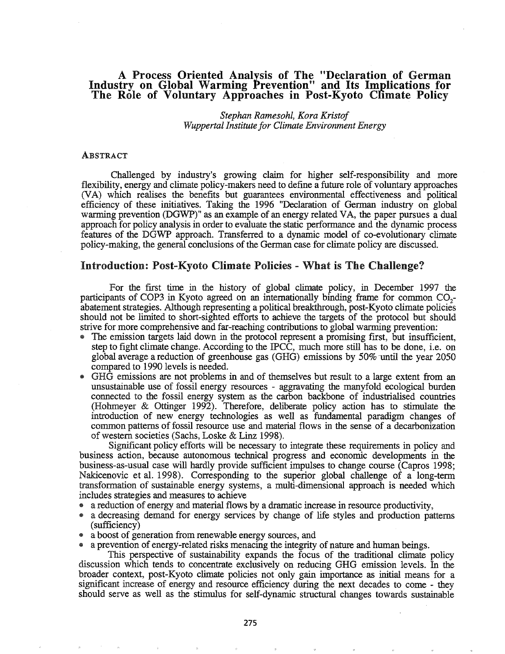## A Process Oriented Analxsis of The "Declaration of German Industry on Global Warming Prevention" and Its Implications for The Role of Voluntary Approaches in Post-Kyoto Climate Policy

*Stephan Ramesohl, Kora Kristof Wuppertal Institute for Climate Environment Energy*

## ABSTRACT

Challenged by industry's growing claim for higher self-responsibility and more flexibility, energy and climate policy-makers need to define a future role of voluntary approaches (VA) which realises the benefits but guarantees environmental effectiveness and political efficiency of these initiatives. Taking the 1996 "Declaration of Gennan industry on global warming prevention (DGWP)" as an example of an energy related VA, the paper pursues a dual approach for policy analysis in order to evaluate the static performance and the dynamic process features of the DGWP approach. Transferred to a dynamic model of co-evolutionary climate policy-making, the general conclusions of the German case for climate policy are discussed.

#### Introduction: Post-Kyoto Climate Policies - What is The Challenge?

For the first time in the history of global climate policy, in December 1997 the participants of COP3 in Kyoto agreed on an internationally binding frame for common  $CO<sub>2</sub>$ abatement strategies. Although representing a political breakthrough, post-Kyoto climate policies should not be limited to short-sighted efforts to achieve the targets of the protocol but should strive for more comprehensive and far-reaching contributions to global wanning prevention:

- @ The emission targets laid down in the protocol represent a promising first, but insufficient, step to fight climate change. According to the IPCC, much more still has to be done, i.e. on global average a reduction of greenhouse gas (GHG) emissions by 50% ·until the year 2050 compared to 1990 levels is needed.
- 4D GHG emissions are not problems in and of themselves but result to a large extent from an unsustainable use of fossil energy resources - aggravating the manyfold ecological burden connected to the fossil energy system as the carbon backbone of industrialised countries (Hohmeyer & Ottinger 1992). Therefore, deliberate policy action has to stimulate the introduction of new energy technologies as well as fundamental paradigm changes of common patterns of fossil resource use and material flows in the sense of a decarbonization of western societies (Sachs, Loske & Linz 1998).

Significant policy efforts will be necessary to integrate these requirements in policy and business action, because autonomous technical progress and economic developments in the business-as-usual case will hardly provide sufficient impulses to change course (Capros 1998; Nakicenovic et al. 1998). Corresponding to the superior global challenge of a long-term transfonnation of sustainable energy systems, a multi-dimensional approach is needed which includes strategies and measures to achieve

- a reduction of energy and material flows by a dramatic increase in resource productivity,
- a decreasing demand for energy services by change of life styles and production patterns (sufficiency)
- a boost of generation from renewable energy sources, and
- a prevention of energy-related risks menacing the integrity of nature and human beings.

This perspective of sustainability expands the focus of the traditional climate policy discussion which tends to concentrate exclusively on reducing GHG emission levels. In the broader context, post-Kyoto climate policies not only gain importance as initial means for a significant increase of energy and resource efficiency during the next decades to come - they should serve as well as the stimulus for self-dynamic structural changes towards sustainable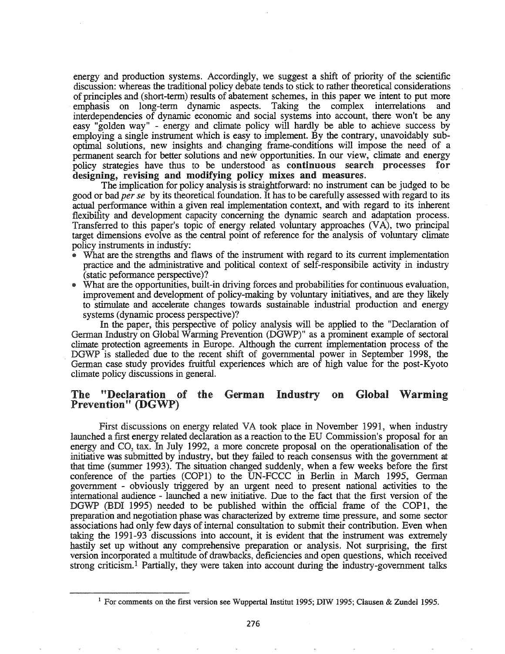energy and production systems. Accordingly, we suggest a shift of priority of the scientific discussion: whereas the traditional policy debate tends to stick to rather theoretical considerations of principles and (short-term) results of abatement schemes, in this paper we intent to put more emphasis on long-term dynamic aspects. Taking the complex interrelations and interdependencies of dynamic economic and social systems into account, there wontt be any easy "golden way" - energy and climate policy will hardly be able to achieve success by employing a single instrument which is easy to implement. By the contrary, unavoidably suboptimal solutions, new insights and- changing frame-conditions will- impose the need of a permanent search for better solutions and new opportunities. In our view, climate and energy policy strategies have thus to be understood as continuous search processes for designing, revising and modifying policy mixes and measures.

The implication for policy analysis is straightforward: no instrument can be judged to be good or bad *perse* by its theoretical foundation. It has to be carefully assessed with regard to its actual performance within a given real implementation context, and with regard to its inherent flexibility and development capacity concerning the dynamic search and adaptation process. Transferred to this paper's topic of energy related voluntary approaches (VA), two principal target dimensions evolve as the central point of reference for the analysis of voluntary climate policy instruments in industry:

- What are the strengths and flaws of the instrument with regard to its current implementation practice and the administrative and political context of self-responsibile activity in industry (static peforrnance perspective)?
- .. What are the opportunities, built-in driving forces and probabilities for continuous evaluation, improvement and development of policy-making by voluntary initiatives, and are they likely to stimulate and accelerate changes towards sustainable industrial production and energy systems (dynamic process perspective)?

In the paper, this perspective of policy analysis will be applied to the "Declaration of German Industry on Global Warming Prevention (DGWP)" as a prominent example of sectoral climate protection agreements in Europe. Although the current implementation process of the DGWP is stalleded due to the recent shift of governmental power in September 1998, the German case study provides fruitful experiences which are of high value for the post-Kyoto climate policy discussions in general.

# The "Declaration of the German Industry on Global Warming<br>Prevention" (DGWP)

First discussions on energy related VA took place in November 1991, when industry launched a first energy related declaration as a reaction to the EU Commission's proposal for an energy and CO, tax. In July 1992, a more concrete proposal on the operationalisation of the initiative was submitted by industry, but they failed to reach consensus with the government at that time (summer 1993). The situation changed suddenly, when a few weeks before the first conference of the parties (COPl) to the UN-FCCC in Berlin in March 1995, German government - obviously triggered by an urgent need to present national activities to the international audience - launched a new initiative. Due to the fact that the first version of the DGWP (BDI 1995) needed to be published within the official frame of the COPl, the preparation and negotiation phase was characterized by. extreme time pressure, and some sector associations had only few days of internal consultation to submit their contribution. Even when taking the 1991-93 discussions into account, it is evident that the instrument was extremely hastily set up without any comprehensive preparation or analysis. Not surprising, the first version incorporated a multitude of drawbacks, deficiencies and open questions, which received strong criticism.<sup>1</sup> Partially, they were taken into account during the industry-government talks

<sup>&</sup>lt;sup>1</sup> For comments on the first version see Wuppertal Institut 1995; DIW 1995; Clausen & Zundel 1995.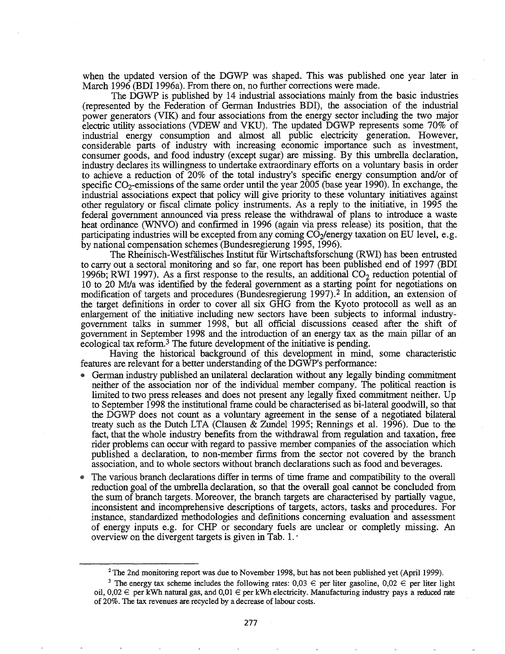when the updated version of the DGWP was shaped. This was published one year later in March 1996 (BDI 1996a). From there on, no further corrections were made.

The DGWP is published by 14 industrial associations mainly from the basic industries (represented by the Federation of German Industries BDI), the association of the industrial power generators (VIK) and four associations from the energy sector including the two major electric utility associations (VDEW and VKU). The updated DGWP represents some 70% of industrial energy consumption and almost all public electricity generation. However, considerable parts of industry with increasing economic importance such as investment, consumer goods, and food industry (except sugar) are missing. By this umbrella declaration, industry declares its willingness to undertake extraordinary efforts on a voluntary basis in order to achieve a reduction of 20% of the total industry's specific energy consumption and/or of specific  $CO_2$ -emissions of the same order until the year 2005 (base year 1990). In exchange, the industrial associations expect that policy will give priority to these voluntary initiatives against other regulatory or fiscal climate policy instruments. As a reply to the initiative, in 1995 the federal government announced via press release the withdrawal of plans to introduce a waste heat ordinance (WNVO) and confrrmed in 1996 (again via press release) its position, that the participating industries will be excepted from any coming  $CO<sub>2</sub>/energy$  taxation on EU level, e.g. by national compensation schemes (Bundesregierung 1995, 1996).

The Rheinisch-WestfaIisches Institut fur Wirtschaftsforschung (RWI) has been entrusted to carry out a sectoral monitoring and so far, one report has been published end of 1997 (BDI 1996b; RWI 1997). As a first response to the results, an additional  $CO<sub>2</sub>$  reduction potential of 10 to 20 Mtla was identified by the federal government as a starting point for negotiations on modification of targets and procedures (Bundesregierung 1997).2 In addition, an extension of the target definitions in order to cover all six GHG from the Kyoto protocoll as well as an enlargement of the initiative including new sectors have been subjects to informal industrygovernment talks in summer 1998, but all official discussions ceased after the shift of government in September 1998 and the introduction of an energy tax as the main pillar of an ecological tax reform.<sup>3</sup> The future development of the initiative is pending.

Having the historical background of. this development in mind, some characteristic features are relevant for a better understanding of the DGWP's performance:

- German industry published an unilateral declaration without any legally binding commitment neither of the association nor of the individual member company. The political reaction is limited to two press releases and does not present any legally fixed commitment neither. Up to September 1998 the institutional frame could be characterised as bi-Iateral goodwill, so that the DGWP does not count as a voluntary agreement in the sense of a negotiated bilateral treaty such as the Dutch LTA (Clausen & Zundel 1995; Rennings et aI.. 1996). Due to the fact, that the whole industry benefits from the withdrawal from regulation and taxation, free rider problems can occur with regard to passive member companies of the association which published a declaration, to non-member frrms from the sector not covered by the branch association, and to whole sectors without branch declarations such as food and beverages.
- The various branch declarations differ in terms of time frame and compatibility to the overall reduction goal of the umbrella declaration, so that the overall goal cannot be concluded from the sum of branch targets. Moreover, the branch targets are characterised by partially vague, inconsistent and incomprehensive descriptions of targets, actors, tasks and procedures. For instance, standardized methodologies and defmitions concerning evaluation and assessment of energy inputs e.g. for CHP or secondary fuels are unclear or completly missing. An overview on the divergent targets is given in Tab.  $1. \cdot$

<sup>&</sup>lt;sup>2</sup> The 2nd monitoring report was due to November 1998, but has not been published yet (April 1999).

<sup>&</sup>lt;sup>3</sup> The energy tax scheme includes the following rates:  $0.03 \in$  per liter gasoline,  $0.02 \in$  per liter light oil,  $0,02 \in$  per kWh natural gas, and  $0,01 \in$  per kWh electricity. Manufacturing industry pays a reduced rate of 20%. The tax revenues are recycled by a decrease of labour costs.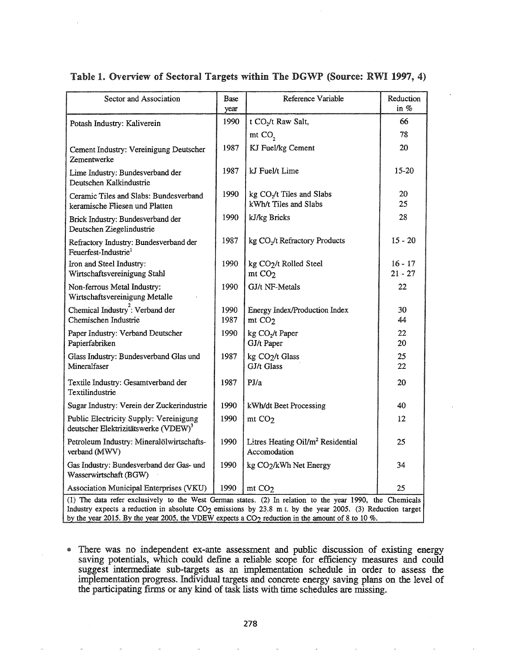## Table 1. Overview of Sectoral Targets within The DGWP (Source: RWI 1997, 4)

| Sector and Association                                                                                                                                                                                                                                                                                                                              | Base<br>year | Reference Variable                                            | Reduction<br>in %      |
|-----------------------------------------------------------------------------------------------------------------------------------------------------------------------------------------------------------------------------------------------------------------------------------------------------------------------------------------------------|--------------|---------------------------------------------------------------|------------------------|
| Potash Industry: Kaliverein                                                                                                                                                                                                                                                                                                                         | 1990         | t CO <sub>2</sub> /t Raw Salt,                                | 66                     |
|                                                                                                                                                                                                                                                                                                                                                     |              | mt CO <sub>2</sub>                                            | 78                     |
| Cement Industry: Vereinigung Deutscher<br>Zementwerke                                                                                                                                                                                                                                                                                               | 1987         | KJ Fuel/kg Cement                                             | 20                     |
| Lime Industry: Bundesverband der<br>Deutschen Kalkindustrie                                                                                                                                                                                                                                                                                         | 1987         | kJ Fuel/t Lime                                                | 15-20                  |
| Ceramic Tiles and Slabs: Bundesverband<br>keramische Fliesen und Platten                                                                                                                                                                                                                                                                            | 1990         | kg $CO2/t$ Tiles and Slabs<br>kWh/t Tiles and Slabs           | 20<br>25               |
| Brick Industry: Bundesverband der<br>Deutschen Ziegelindustrie                                                                                                                                                                                                                                                                                      | 1990         | kJ/kg Bricks                                                  | 28                     |
| Refractory Industry: Bundesverband der<br>Feuerfest-Industrie <sup>1</sup>                                                                                                                                                                                                                                                                          | 1987         | kg CO <sub>2</sub> /t Refractory Products                     | $15 - 20$              |
| Iron and Steel Industry:<br>Wirtschaftsvereinigung Stahl                                                                                                                                                                                                                                                                                            | 1990         | kg CO2/t Rolled Steel<br>mt CO <sub>2</sub>                   | $16 - 17$<br>$21 - 27$ |
| Non-ferrous Metal Industry:<br>Wirtschaftsvereinigung Metalle                                                                                                                                                                                                                                                                                       | 1990         | GJ/t NF-Metals                                                | 22                     |
| Chemical Industry: Verband der<br>Chemischen Industrie                                                                                                                                                                                                                                                                                              | 1990<br>1987 | Energy Index/Production Index<br>mt CO <sub>2</sub>           | 30<br>44               |
| Paper Industry: Verband Deutscher<br>Papierfabriken                                                                                                                                                                                                                                                                                                 | 1990         | kg CO <sub>2</sub> /t Paper<br>GJ/t Paper                     | 22<br>20               |
| Glass Industry: Bundesverband Glas und<br>Mineralfaser                                                                                                                                                                                                                                                                                              | 1987         | kg CO <sub>2</sub> /t Glass<br>GJ/t Glass                     | 25<br>22               |
| Textile Industry: Gesamtverband der<br>Textilindustrie                                                                                                                                                                                                                                                                                              | 1987         | PJ/a                                                          | 20                     |
| Sugar Industry: Verein der Zuckerindustrie                                                                                                                                                                                                                                                                                                          | 1990         | kWh/dt Beet Processing                                        | 40                     |
| Public Electricity Supply: Vereinigung<br>deutscher Elektrizitätswerke (VDEW) <sup>3</sup>                                                                                                                                                                                                                                                          | 1990         | mt CO <sub>2</sub>                                            | 12                     |
| Petroleum Industry: Mineralölwirtschafts-<br>verband (MWV)                                                                                                                                                                                                                                                                                          | 1990         | Litres Heating Oil/m <sup>2</sup> Residential<br>Accomodation | 25                     |
| Gas Industry: Bundesverband der Gas- und<br>Wasserwirtschaft (BGW)                                                                                                                                                                                                                                                                                  | 1990         | kg CO2/kWh Net Energy                                         | 34                     |
| Association Municipal Enterprises (VKU)                                                                                                                                                                                                                                                                                                             | 1990         | mt CO <sub>2</sub>                                            | 25                     |
| (1) The data refer exclusively to the West German states. (2) In relation to the year 1990, the Chemicals<br>Industry expects a reduction in absolute CO <sub>2</sub> emissions by 23.8 m t. by the year 2005. (3) Reduction target<br>by the year 2015. By the year 2005, the VDEW expects a CO <sub>2</sub> reduction in the amount of 8 to 10 %. |              |                                                               |                        |

@ There was no independent ex-ante assessment and public discussion of existing energy saving potentials, which could defme a reliable scope for efficiency measures and could suggest intennediate sub-targets as an implementation schedule in order to assess the implementation progress. Individual targets and concrete energy saving plans on the level of the participating firms or any kind of task lists with time schedules are missing.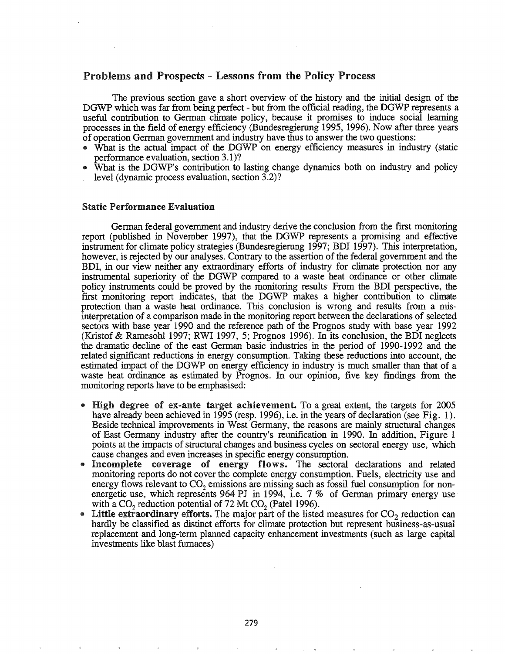## Problems and Prospects - Lessons from the Policy Process

The previous section gave a short overview of the history and the initial design of the DGWP which was far from being perfect - but from the official reading, the DGWP represents a useful contribution to German climate policy, because it promises to induce social learning processes in the field of energy efficiency (Bundesregierung 1995, 1996). Now after three years of operation German government and industry have thus to answer the two questions:

- What is the actual impact of the DGWP on energy efficiency measures in industry (static performance evaluation, section 3.1)?
- What is the DGWP's contribution to lasting change dynamics both on industry and policy level (dynamic process evaluation, section 3.2)?

#### Static Performance Evaluation

German federal government and industry derive the conclusion from the fIrst monitoring report (published in November 1997), that the DGWP represents a promising and effective instrument for climate policy strategies (Bundesregierung 1997; BDI 1997). This interpretation, however, is rejected by our analyses. Contrary to the assertion of the federal government and the BDI, in our view neither any extraordinary efforts of industry for climate protection nor any instrumental superiority of the DGWP compared to a waste heat ordinance or other climate policy instruments could be proved by the monitoring results' From the BDI perspective, the first monitoring report indicates, that the DGWP makes a higher contribution to climate protection than a waste heat ordinance. This conclusion is wrong and results from a misinterpretation of a comparison made in the monitoring report between the declarations of selected sectors with base year 1990 and the reference path of the Prognos study with base year 1992 (Kristof & Ramesohl 1997; RWI 1997, 5; Prognos 1996). In its conclusion, the BDI neglects the dramatic decline of the east German basic industries in the period of 1990-1992 and the related significant reductions in energy consumption. Taking these reductions into account, the estimated impact of the DGWP on energy efficiency in industry is much smaller than that of a waste heat ordinance as estimated by Prognos. In our opinion, five key findings from the monitoring reports have to be emphasised:

- **E** High degree of ex-ante target achievement. To a great extent, the targets for 2005 have already been achieved in 1995 (resp. 1996), i.e. in the years of declaration (see Fig. 1). Beside technical improvements in West Germany, the reasons are mainly structural changes of East Germany industry after the country's reunification in 1990. In addition, Figure 1 points at the impacts of structural changes and business cycles on sectoral energy use, which cause changes and even increases in specific energy consumption..
- Incomplete coverage of energy flows. The sectoral declarations and related monitoring reports do not cover the complete energy consumption. Fuels, electricity use and energy flows relevant to  $CO<sub>2</sub>$  emissions are missing such as fossil fuel consumption for nonenergetic use, which represents 964 PJ in 1994, i.e.  $7\%$  of German primary energy use with a CO<sub>2</sub> reduction potential of  $72$  Mt CO<sub>2</sub> (Patel 1996).
- Little extraordinary efforts. The major part of the listed measures for  $CO_2$  reduction can hardly be classified as distinct efforts for climate protection but represent business-as-usual replacement and long-term planned capacity enhancement investments (such as large capital investments like blast furnaces)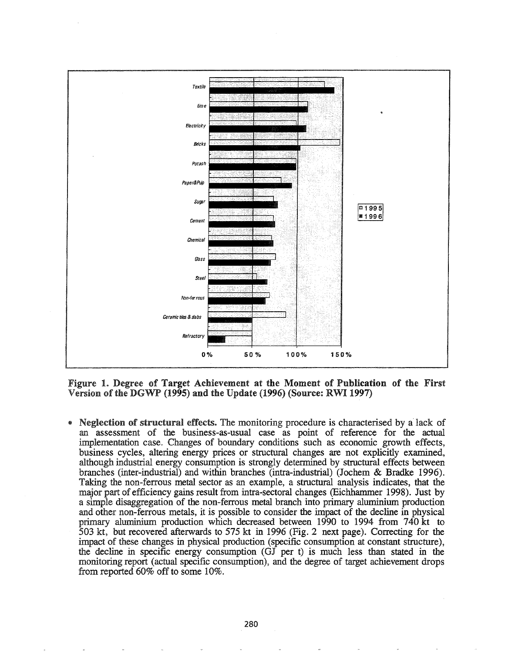

Figure 1. Degree of Target Achievement at the Moment of Publication of the First Version of the DGWP (1995) and the Update (1996) (Source: RWI 1997)

Neglection of structural effects. The monitoring procedure is characterised by a lack of an assessment of the business-as-usual case as point of reference for the actual implementation case. Changes of boundary conditions such as economic growth effects, business cycles, altering energy prices or structural changes are not explicitly examined, although industrial energy consumption is strongly determined by structural effects between branches (inter-industrial) and within branches (intra-industrial) (Jochem & Bradke 1996). Taking the non-ferrous metal sector as an example, a structural analysis indicates, that the major part of efficiency gains result from intra-sectoral changes (Eichhammer 1998). Just by a simple disaggregation of the non-ferrous metal branch into primary aluminium production and other non-ferrous metals, it is possible to consider the impact of the decline in physical primary aluminium production which decreased between 1990 to 1994 from 740 kt to 503 kt, but recovered afterwards to 575 kt in 1996 (Fig. 2 next page). Correcting for the impact of these changes in physical production (specific consumption at constant structure), the decline in specific energy consumption (GJ per t) is much less than stated in the monitoring report (actual specific consumption), and the degree of target achievement drops from reported  $60\%$  off to some  $10\%$ .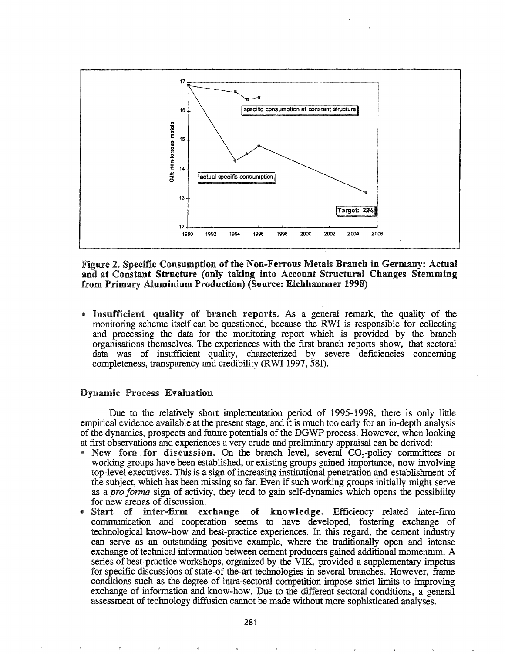

Figure 2. Specific Consumption of the Non-Ferrous Metals Branch in Germany: Actual and at Constant Structure (only taking into Account Structural Changes Stemming from Primary Aluminium Production) (Source: Eichhammer 1998)

Insufficient quality of branch reports. As a general remark, the quality of the monitoring scheme itself can be questioned, because the RWI is responsible for collecting and processing the data for the monitoring report which is provided by the branch organisations themselves. The experiences with the first branch reports show, that sectoral data was of insufficient quality, characterized by severe deficiencies concerning completeness, transparency and credibility (RWI 1997, 58f).

#### **Dynamic Process Evaluation**

Due to the relatively short implementation period of 1995-1998, there is only little empirical evidence available at the present stage, and it is much too early for an in-depth analysis of the dynamics, prospects and future potentials of the DGWP process. However, when looking at first observations and experiences a very crude and preliminary appraisal can be derived:

- New for a for discussion. On the branch level, several CO<sub>2</sub>-policy committees or working groups have been established, or existing groups gained importance, now involving top-level executives. This is a sign of increasing institutional penetration and establishment of the subject, which has been missing so far. Even if such working groups initially might serve as a *pro forma* sign of activity, they tend to gain self-dynamics which opens the possibility for new arenas of discussion.
- Start of inter-firm exchange of knowledge. Efficiency related inter-firm communication and cooperation seems to have developed, fostering exchange of technological know-how and best-practice experiences. In this regard, the cement industry can serve as an outstanding positive example, where the traditionally open and intense exchange of technical information between cement producers gained additional momentum. A series of best-practice workshops, organized by the VIK, provided a supplementary impetus for specific discussions of state-of-the-art technologies in several branches. However, frame conditions such as the degree of intra-sectoral competition impose strict limits to improving exchange of information and know-how. Due to the different sectoral conditions, a general assessment of technology diffusion cannot be made without more sophisticated analyses.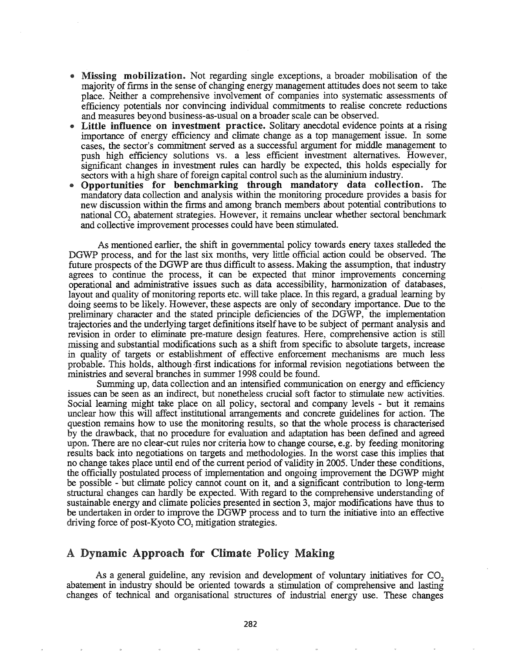- Missing mobilization. Not regarding single exceptions, a broader mobilisation of the majority of firms in the sense of changing energy management attitudes does not seem to take place. Neither a comprehensive involvement of companies into systematic assessments of efficiency potentials nor convincing individual commitments to realise concrete reductions and measures beyond business-as-usual on a broader scale can be observed.
- Little influence on investment practice. Solitary anecdotal evidence points at a rising importance of energy efficiency and climate change as a top management issue. In some cases, the sector's commitment served as a successful argument for middle management to push high efficiency solutions vs. a less efficient investment alternatives. However, significant changes in investment rules can hardly be expected, this holds especially for sectors with a high share of foreign capital control such as the aluminium industry.
- Opportunities for benchmarking through mandatory data collection. The mandatory data collection and analysis within the monitoring procedure provides a basis for new discussion within the firms and among branch members about potential contributions to national CO<sub>2</sub> abatement strategies. However, it remains unclear whether sectoral benchmark and collective improvement processes could have been stimulated.

As mentioned earlier, the shift in governmental policy towards enery taxes stalleded the DGWP process, and for the last six months, very little official action could be observed. The future prospects of the DGWP are thus difficult to assess. Making the assumption, that industry agrees to continue the process, it can be expected that minor improvements concerning operational and administrative issues such as data accessibility, hannonization of databases, layout and quality of monitoring reports etc. will take place. In this regard, a gradual learning by doing seems to be likely. However, these aspects are only of secondary importance. Due to the preliminary character and the stated principle deficiencies of the DGWP, the implementation trajectories and the underlying target definitions itself have to be subject of permant analysis and revision in order to eliminate pre-mature design features. Here, comprehensive action is still missing and substantial modifications such as a shift from specific to absolute targets, increase in quality of targets or establishment of effective enforcement mechanisms are much less probable. This holds, although first indications for informal revision negotiations between the ministries and several branches in summer 1998 could be found.

Summing up, data collection and an intensified communication on energy and efficiency issues can be seen as an indirect, but nonetheless crucial soft factor to stimulate new activities.. Social learning might take place on all policy, sectoral and company levels - but it remains unclear how this will affect institutional arrangements and concrete guidelines for action. The question remains how to use the monitoring results, so that the whole process is characterised by the drawback, that no procedure for evaluation and adaptation has been defmed and agreed upon. There are no clear-cut rules nor criteria how to change course, e.g. by feeding monitoring results back into negotiations on targets and methodologies. In the worst case this implies that no change takes place until end of the current period of validity in 2005. Under these conditions, the officially postulated process of implementation and ongoing improvement the DGWP might be possible - but climate policy cannot count on it, and a significant contribution to long-tenn structural changes can hardly be expected. With regard to the comprehensive understanding of sustainable energy and climate policies presented in section 3, major modifications have thus to be undertaken in order to improve the DGWP process and to turn the initiative into an effective driving force of post-Kyoto  $CO<sub>2</sub>$  mitigation strategies.

## A Dynamic Approach for Climate Policy Making

As a general guideline, any revision and development of voluntary initiatives for  $CO<sub>2</sub>$ abatement in industry should be oriented towards a stimulation of comprehensive and lasting changes of technical and organisational structures of industrial energy use. These changes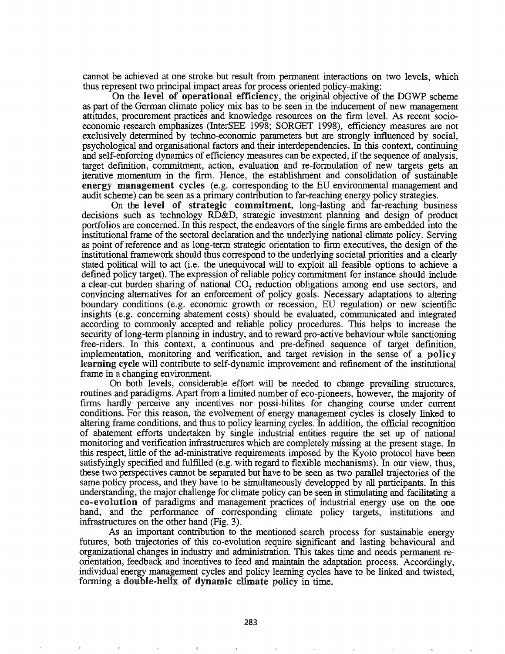cannot be achieved at one stroke but result from permanent interactions on two levels, which thus represent two principal impact areas for process oriented policy-making:

On the level of operational efficiency, the original objective of the DGWP scheme as part of the German climate policy mix has to be seen in the inducement of new management attitudes, procurement practices and knowledge resources on the firm level. As recent socioeconomic research emphasizes (InterSEE 1998; SORGET 1998), efficiency measures are not exclusively determined by techno-economic parameters but are strongly influenced by social, psychological and organisational factors and their interdependencies. In this context, continuing and self-enforcing dynamics of efficiency measures can be expected, if the sequence of analysis, target definition, commitment, action, evaluation and re-formulation of new targets gets an iterative momentum in the firm. Hence, the establishment and consolidation of sustainable energy management cycles (e.g. corresponding to the ED environmental management and audit scheme) can be seen as a primary contribution to far-reaching energy policy strategies.

On the level of strategic commitment, long-lasting and far-reaching business decisions such as technology RD&D, strategic investment planning and design of product portfolios are concerned. In this respect, the endeavors of the single firms are embedded into the institutional frame of the sectoral declaration and the underlying national climate policy. Serving as point of reference and as long-term strategic orientation to firm executives, the design of the institutional framework should thus correspond to the underlying societal priorities and a clearly stated political will to act (i.e. the unequivocal will to exploit all feasible options to achieve a defined policy target). The expression ofreliable policy commitment for instance should include a clear-cut burden sharing of national CO<sub>2</sub> reduction obligations among end use sectors, and convincing alternatives for an enforcement of policy goals. Necessary adaptations to altering boundary conditions (e.g. economic growth or recession, EU regulation) or new scientific insights (e.g. concerning abatement costs) should be evaluated, communicated and integrated according to commonly accepted and reliable policy procedures. This helps to increase the security of long-term planning in industry, and to reward pro-active behaviour while sanctioning free-riders. In this context, a continuous and pre-defined sequence of target defmition, implementation, monitoring and verification, and target revision in the sense of a policy learning cycle will contribute to self-dynamic improvement and refinement of the institutional frame in a changing environment.

On both levels, considerable effort will be needed to change prevailing structures, routines and paradigms. Apart from a limited number of eco-pioneers, however, the majority of firms hardly perceive any incentives nor possi-bilites for changing course under current conditions. For this reason, the evolvement of energy management cycles is closely linked to altering frame conditions, and thus to policy learning cycles. In addition, the official recognition of abatement efforts undertaken by single industrial entities require the set up of national monitoring and verification infrastructures which are completely missing at the present stage. In this respect, little of the ad-ministrative requirements imposed by the Kyoto protocol have been satisfyingly specified and fulfilled (e.g. with regard to flexible mechanisms). In our view, thus, these two perspectives cannot be separated but have to be seen as two parallel trajectories of the same policy process, and they have to be simultaneously developped by all participants. In this understanding, the major challenge for climate policy can be seen in stimulating and facilitating a co-evolution of paradigms and management practices of industrial energy use on the one hand, and the performance of corresponding climate policy targets, institutions and infrastructures on the other hand (Fig. 3).

As an important contribution to the mentioned search process for sustainable energy futures, both trajectories of this co-evolution require significant and lasting behavioural and organizational changes in industry and administration. This takes time and needs permanent reorientation, feedback and incentives to feed and maintain the adaptation process. Accordingly, individual energy management cycles and policy learning cycles have to be linked and twisted, forming a double~helix of dynamic climate policy in time.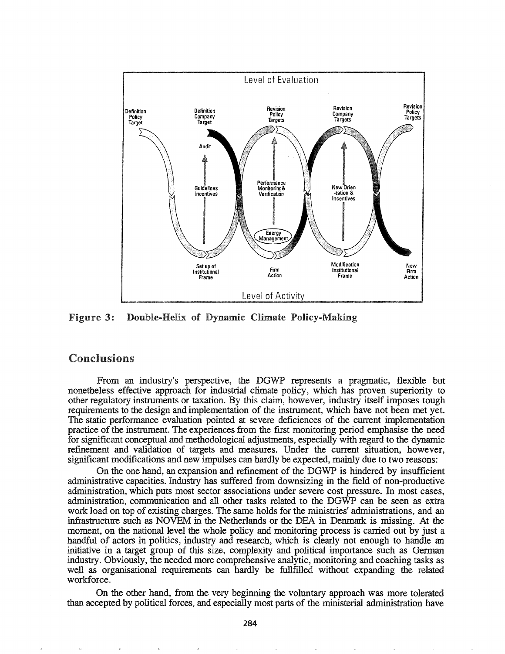

Figure 3: Double-Helix of Dynamic Climate Policy-Making

# Conclusions

From an industry's perspective, the DGWP represents a pragmatic, flexible but nonetheless effective approach for industrial climate policy, which has proven superiority to other regulatory instruments or taxation. By this claim, however, industry itself imposes tough requirements to the design and implementation of the instrument, which have not been met yet. The static performance evaluation pointed at severe deficiences of the current implementation practice of the instrument. The experiences from the first monitoring period emphasise the need for significant conceptual and methodological adjustments, especially with regard to the dynamic refmement and validation of targets and measures. Under the current situation, however, significant modifications and new impulses can hardly be expected, mainly due to two reasons:

On the one hand, an expansion and refmement of the DGWP is hindered by insufficient administrative capacities. Industry has suffered from downsizing in the field of non-productive administration, which puts most sector associations under severe cost pressure. In most cases, administration, communication and all other tasks related to the DGWP can be seen as extra work load on top of existing charges. The same holds for the ministries' administrations, and an infrastructure such as NOVEM in the Netherlands or the DBA in Denmark is missing. At the moment, on the national level the whole policy and monitoring process is carried out by just a handful of actors in politics, industry and research, which is clearly not enough to handle an initiative in a target group of this size, complexity and political importance such as Gennan industry. Obviously, the needed more comprehensive analytic, monitoring and coaching tasks as well as organisational requirements can hardly be fullfilled without expanding the related workforce.

On the other hand, from the very beginning the voluntary approach was more tolerated than accepted by political forces, and especially most parts of the ministerial administration have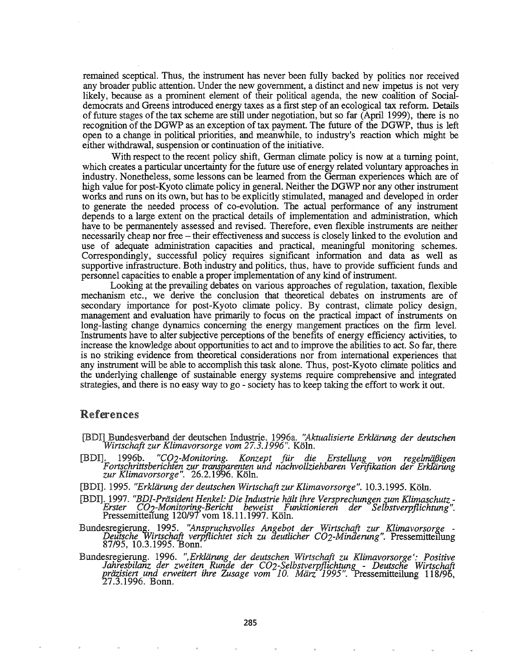remained sceptical. Thus, the instrument has never been fully backed by politics nor received any broader public attention. Under the new government, a distinct and new impetus is not very likely, because as a prominent element of their political agenda, the new coalition of Socialdemocrats and Greens introduced energy taxes as a first step of an ecological tax reform. Details offuture stages ofthe tax scheme are still under negotiation, but so far (April 1999), there is no recognition of the DGWP as an exception of tax payment. The future of the DGWP, thus is left open to a change in political priorities, and meanwhile, to industry's reaction which might be either withdrawal, suspension or continuation of the initiative.

With respect to the recent policy shift, German climate policy is now at a turning point, which creates a particular uncertainty for the future use of energy related voluntary approaches in industry. Nonetheless, some lessons can be learned from the German experiences which are of high value for post-Kyoto climate policy in general. Neither the DGWP nor any other instrument works and runs on its own, but has to be explicitly stimulated, managed and developed in order to generate the needed process of co-evolution. The actual perfonnance of any instrument depends to a large extent on the practical details of implementation and administration, which haye to be permanentely assessed and revised. Therefore, even flexible instruments are neither necessarily cheap nor free - their effectiveness and success is closely linked to the evolution and use of adequate administration capacities and practical, meaningful monitoring schemes. Correspondingly, successful policy requires significant information and data as well as supportive infrastructure. Both industry and politics, thus, have to provide sufficient funds and personnel capacities to enable a proper implementation of any kind ofinstrument.

Looking at the prevailing debates on various approaches of regulation, taxation, flexible mechanism etc., we derive the conclusion that theoretical debates on instruments are of secondary importance for post-Kyoto climate policy. By contrast, climate policy design, management and evaluation have primarily to focus on the practical impact of instruments on long-lasting change dynamics concerning the energy mangement practices on the frrm level. Instruments have to alter subjective perceptions of the benefits of energy efficiency activities, to increase the knowledge about opportunities to act and to improve the abilities to act. So far, there is no striking evidence from theoretical considerations nor from international experiences that any instrument will be able to accomplish this task alone~ Thus, post-Kyoto climate politics and the underlying challenge of sustainable energy systems require comprehensive and integrated strategies, and there is no easy way to go - society has to keep taking the effort to work it out.

## References

- [BDIl Bundesverband der deutschen lndustrie. 1996a. *"Aktualisierte Erkliirung der deutschen Wirtschaft zur Klimavorsorge vom* 27.3.1996". Kolne
- [BDI]. 1996b. *"C02-Monitoring. Konzept fur die Erstellung von regelmiifJigen Fortschrittsberichten zur* tr~12arenten *und nachvollziehbaren Verifikation der Erkl'lirung zur Klimavorsorge".* 26..2.19Y6. Koln.
- *1995. "Erkliirung der deutschen Wirtschaft zur Klimavorsorge".* 10..3.1995. Koln..
- [BDI]. 1997. "BDI-Präsident Henkel: Die Industrie hält ihre Versprechungen zum Klimaschutz-<br>Erster CO<sub>2</sub>-Monitoring-Bericht beweist Funktionieren der Selbstverpflichtung".<br>Pressemitteilung 120/97 vom 18.11.1997. Köln.
- Bundesregierung. 1995. "Anspruchsvolles Angebot der Wirtschaft zur Klimavorsorge Deutsche Wirtschaft verpflichtet sich zu deutlicher CO2-Minderung". Pressemitteilung 87/95, 10.3.1995. Bonn.
- Bundesregierung. 1996. *",Erkliirung der deutschen Wirtschaft zu Klimavorsorge'e· Positive* Jahresbilanz der zweiten Runde der CO2-Selbstverpflichtung - Deutsche Wirtschaft<br>präzisiert und erweitert ihre Zusage vom 10. März 1995". Pressemitteilung 118/96,<br>27.3.1996. Bonn.